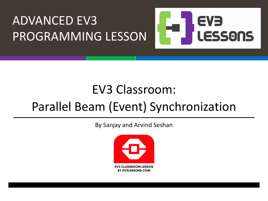

### EV3 Classroom:

## Parallel Beam (Event) Synchronization

By Sanjay and Arvind Seshan

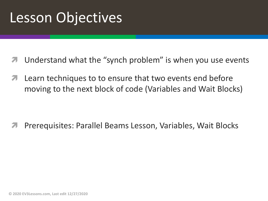## Lesson Objectives

- Understand what the "synch problem" is when you use events
- Learn techniques to to ensure that two events end before moving to the next block of code (Variables and Wait Blocks)

ì Prerequisites: Parallel Beams Lesson, Variables, Wait Blocks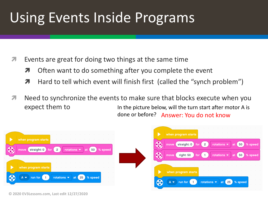# Using Events Inside Programs

- Events are great for doing two things at the same time
	- $\lambda$  Often want to do something after you complete the event
	- $\lambda$  Hard to tell which event will finish first (called the "synch problem")
- *i* Need to synchronize the events to make sure that blocks execute when you expect them to In the picture below, will the turn start after motor A is done or before? Answer: You do not know





**© 2020 EV3Lessons.com, Last edit 12/27/2020**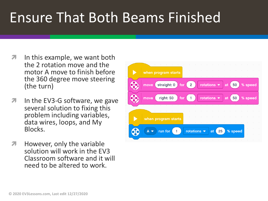# Ensure That Both Beams Finished

- $\lambda$  In this example, we want both the 2 rotation move and the motor A move to finish before the 360 degree move steering (the turn)
- $\lambda$  In the EV3-G software, we gave several solution to fixing this problem including variables, data wires, loops, and My Blocks.
- $\lambda$  However, only the variable solution will work in the EV3 Classroom software and it will need to be altered to work.

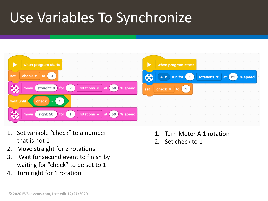# Use Variables To Synchronize

|            | .<br>.<br>when program starts<br>the contract of the contract of<br>the contract of the contract of the contract of the contract of the contract of the contract of the contract of | .<br>the contract of the contract of the contract of the contract of the contract of the contract of the contract of<br>when program starts<br>$\alpha$ and $\alpha$ and $\alpha$ and $\alpha$ and $\alpha$ and $\alpha$ and $\alpha$ and $\alpha$ and $\alpha$ and $\alpha$ |                            |  |                               |  |  |  |  |  |                                                                                                                                                                                                                                |  |
|------------|-------------------------------------------------------------------------------------------------------------------------------------------------------------------------------------|------------------------------------------------------------------------------------------------------------------------------------------------------------------------------------------------------------------------------------------------------------------------------|----------------------------|--|-------------------------------|--|--|--|--|--|--------------------------------------------------------------------------------------------------------------------------------------------------------------------------------------------------------------------------------|--|
| set        | check $\bullet$<br>$\cdot$ 0 $\sim$<br>the contract of the contract of the contract of the contract of the contract of the contract of the contract of                              | 60                                                                                                                                                                                                                                                                           |                            |  | $A \bullet$ run for $\bullet$ |  |  |  |  |  | notations ● at 25 % speed                                                                                                                                                                                                      |  |
| E          | rotations $\bullet$ at $\left(50\right)$ % speed<br>straight: 0<br>for $\left(2\right)$<br>move                                                                                     | set                                                                                                                                                                                                                                                                          | check $\blacktriangledown$ |  | $\mathsf{to}$ 1               |  |  |  |  |  | and the company of the company of the company of the company of the company of the company of the company of the company of the company of the company of the company of the company of the company of the company of the comp |  |
| wait until | check $=$ (1)                                                                                                                                                                       |                                                                                                                                                                                                                                                                              |                            |  | .                             |  |  |  |  |  | .                                                                                                                                                                                                                              |  |
| e e        | right: 50<br>move<br>for $($<br>the contract of the contract of the contract of the contract of the contract of the contract of the contract of                                     |                                                                                                                                                                                                                                                                              |                            |  |                               |  |  |  |  |  | .                                                                                                                                                                                                                              |  |

- 1. Set variable "check" to a number that is not 1
- 2. Move straight for 2 rotations
- 3. Wait for second event to finish by waiting for "check" to be set to 1
- 4. Turn right for 1 rotation
- 1. Turn Motor A 1 rotation
- 2. Set check to 1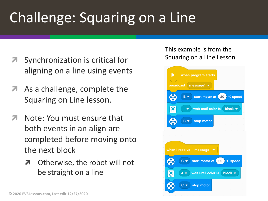# Challenge: Squaring on a Line

- Synchronization is critical for aligning on a line using events
- As a challenge, complete the Squaring on Line lesson.
- Note: You must ensure that both events in an align are completed before moving onto the next block
	- **7** Otherwise, the robot will not be straight on a line

#### This example is from the Squaring on a Line Lesson

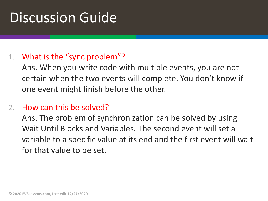## Discussion Guide

### 1. What is the "sync problem"?

Ans. When you write code with multiple events, you are not certain when the two events will complete. You don't know if one event might finish before the other.

### 2. How can this be solved?

Ans. The problem of synchronization can be solved by using Wait Until Blocks and Variables. The second event will set a variable to a specific value at its end and the first event will wait for that value to be set.